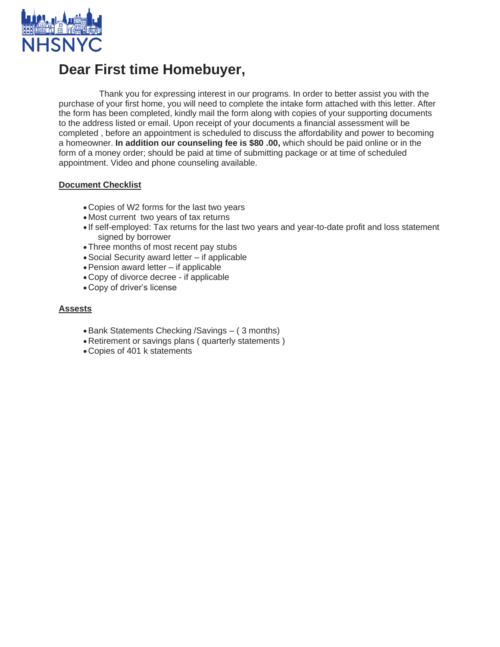

# **Dear First time Homebuyer,**

 Thank you for expressing interest in our programs. In order to better assist you with the purchase of your first home, you will need to complete the intake form attached with this letter. After the form has been completed, kindly mail the form along with copies of your supporting documents to the address listed or email. Upon receipt of your documents a financial assessment will be completed , before an appointment is scheduled to discuss the affordability and power to becoming a homeowner. **In addition our counseling fee is \$80 .00,** which should be paid online or in the form of a money order; should be paid at time of submitting package or at time of scheduled appointment. Video and phone counseling available.

### **Document Checklist**

- •Copies of W2 forms for the last two years
- •Most current two years of tax returns
- If self-employed: Tax returns for the last two years and year-to-date profit and loss statement signed by borrower
- •Three months of most recent pay stubs
- •Social Security award letter if applicable
- •Pension award letter if applicable
- •Copy of divorce decree if applicable
- •Copy of driver's license

### **Assests**

- •Bank Statements Checking /Savings ( 3 months)
- •Retirement or savings plans ( quarterly statements )
- •Copies of 401 k statements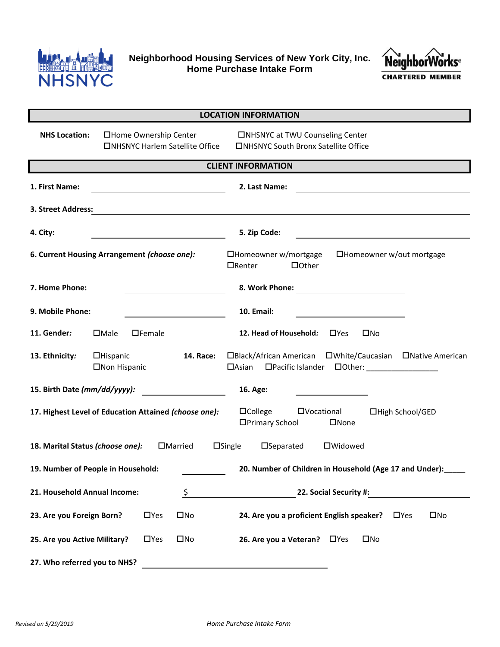

**Neighborhood Housing Services of New York City, Inc. Home Purchase Intake Form**



| <b>LOCATION INFORMATION</b>                                                                                                                              |                                                         |                                                                                     |  |  |  |  |
|----------------------------------------------------------------------------------------------------------------------------------------------------------|---------------------------------------------------------|-------------------------------------------------------------------------------------|--|--|--|--|
| <b>NHS Location:</b><br>□Home Ownership Center<br><b>CINHSNYC Harlem Satellite Office</b>                                                                |                                                         | □NHSNYC at TWU Counseling Center<br>□NHSNYC South Bronx Satellite Office            |  |  |  |  |
| <b>CLIENT INFORMATION</b>                                                                                                                                |                                                         |                                                                                     |  |  |  |  |
| 1. First Name:<br>2. Last Name:<br><u> 1980 - Johann Barn, mars eta bainar e</u>                                                                         |                                                         |                                                                                     |  |  |  |  |
| 3. Street Address:                                                                                                                                       |                                                         | <u> 1989 - Johann Stein, mars an deus Amerikaansk kommunister (</u>                 |  |  |  |  |
| 4. City:                                                                                                                                                 | <u> 1980 - John Barnett, fransk politiker (d. 1980)</u> | 5. Zip Code:                                                                        |  |  |  |  |
| 6. Current Housing Arrangement (choose one):                                                                                                             |                                                         | □Homeowner w/mortgage<br>□Homeowner w/out mortgage<br>$\Box$ Renter<br>$\Box$ Other |  |  |  |  |
| 7. Home Phone:                                                                                                                                           |                                                         | 8. Work Phone:                                                                      |  |  |  |  |
| 9. Mobile Phone:                                                                                                                                         |                                                         | <b>10. Email:</b>                                                                   |  |  |  |  |
| 11. Gender:                                                                                                                                              | $\square$ Male<br>$\Box$ Female                         | 12. Head of Household:<br>$\square$ Yes<br>$\square$ No                             |  |  |  |  |
| 13. Ethnicity:                                                                                                                                           | $\Box$ Hispanic<br>14. Race:<br>□Non Hispanic           | □Black/African American □White/Caucasian □Native American                           |  |  |  |  |
| 15. Birth Date (mm/dd/yyyy):                                                                                                                             |                                                         | 16. Age:<br><u> 1989 - Johann Barbara, martin a</u>                                 |  |  |  |  |
| 17. Highest Level of Education Attained (choose one):<br>$\Box$ College<br>$\square$ Vocational<br>□High School/GED<br>□Primary School<br>$\square$ None |                                                         |                                                                                     |  |  |  |  |
| $\square$ Separated<br>18. Marital Status (choose one):<br>$\Box$ Married<br>$\square$ Single<br>□Widowed                                                |                                                         |                                                                                     |  |  |  |  |
| 19. Number of People in Household:<br>20. Number of Children in Household (Age 17 and Under):                                                            |                                                         |                                                                                     |  |  |  |  |
| 21. Household Annual Income:<br>\$                                                                                                                       |                                                         | 22. Social Security #:                                                              |  |  |  |  |
| 23. Are you Foreign Born?                                                                                                                                | $\Box$ Yes<br>$\square$ No                              | 24. Are you a proficient English speaker?<br>$\square$ No<br>$\Box$ Yes             |  |  |  |  |
| 25. Are you Active Military?                                                                                                                             | $\Box$ Yes<br>$\square$ No                              | $\square$ No<br>26. Are you a Veteran?<br>$\Box$ Yes                                |  |  |  |  |
| 27. Who referred you to NHS?                                                                                                                             |                                                         |                                                                                     |  |  |  |  |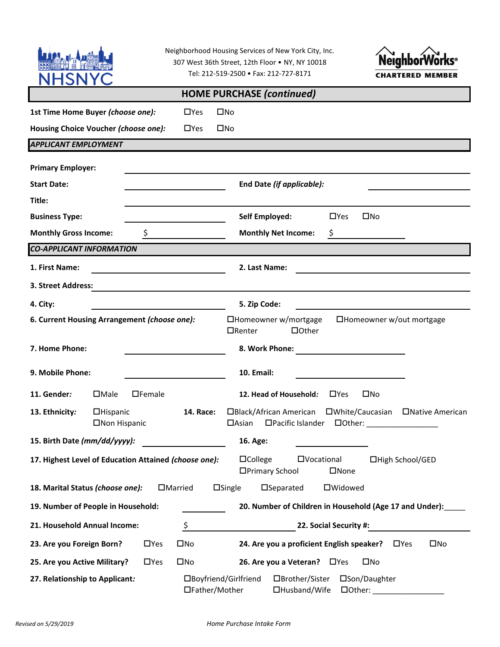|                                                                                                                                                        |                | Neighborhood Housing Services of New York City, Inc.<br><b>Neighbort</b><br>307 West 36th Street, 12th Floor . NY, NY 10018<br>Tel: 212-519-2500 · Fax: 212-727-8171<br><b>CHARTERED MEMBER</b> |  |  |  |  |  |
|--------------------------------------------------------------------------------------------------------------------------------------------------------|----------------|-------------------------------------------------------------------------------------------------------------------------------------------------------------------------------------------------|--|--|--|--|--|
| <b>HOME PURCHASE (continued)</b>                                                                                                                       |                |                                                                                                                                                                                                 |  |  |  |  |  |
| 1st Time Home Buyer (choose one):                                                                                                                      | $\Box$ Yes     | $\square$ No                                                                                                                                                                                    |  |  |  |  |  |
| Housing Choice Voucher (choose one):                                                                                                                   | $\Box$ Yes     | $\square$ No                                                                                                                                                                                    |  |  |  |  |  |
| <b>APPLICANT EMPLOYMENT</b>                                                                                                                            |                |                                                                                                                                                                                                 |  |  |  |  |  |
| <b>Primary Employer:</b>                                                                                                                               |                |                                                                                                                                                                                                 |  |  |  |  |  |
| <b>Start Date:</b>                                                                                                                                     |                | End Date (if applicable):                                                                                                                                                                       |  |  |  |  |  |
| Title:                                                                                                                                                 |                |                                                                                                                                                                                                 |  |  |  |  |  |
| <b>Business Type:</b>                                                                                                                                  |                | $\Box$ Yes<br>$\square$ No<br>Self Employed:                                                                                                                                                    |  |  |  |  |  |
| $\sharp$ and $\sharp$<br><b>Monthly Gross Income:</b>                                                                                                  |                | <b>Monthly Net Income:</b><br>\$                                                                                                                                                                |  |  |  |  |  |
| <b>CO-APPLICANT INFORMATION</b>                                                                                                                        |                |                                                                                                                                                                                                 |  |  |  |  |  |
| 1. First Name:<br><u> 1989 - Johann Barbara, martxa a</u>                                                                                              |                | 2. Last Name:                                                                                                                                                                                   |  |  |  |  |  |
| 3. Street Address:                                                                                                                                     |                |                                                                                                                                                                                                 |  |  |  |  |  |
| 4. City:                                                                                                                                               |                | 5. Zip Code:                                                                                                                                                                                    |  |  |  |  |  |
| 6. Current Housing Arrangement (choose one):<br>□Homeowner w/mortgage<br>$\Box$ Homeowner w/out mortgage<br>$\Box$ Renter<br>$\Box$ Other              |                |                                                                                                                                                                                                 |  |  |  |  |  |
| 7. Home Phone:                                                                                                                                         |                | 8. Work Phone:                                                                                                                                                                                  |  |  |  |  |  |
| 9. Mobile Phone:                                                                                                                                       |                | <b>10. Email:</b>                                                                                                                                                                               |  |  |  |  |  |
| 11. Gender:<br>$\Box$ Male<br>$\Box$ Female                                                                                                            |                | 12. Head of Household:<br>$\Box$ Yes<br>$\square$ No                                                                                                                                            |  |  |  |  |  |
| 13. Ethnicity:<br>$\Box$ Hispanic<br>□Non Hispanic                                                                                                     | 14. Race:      | □Black/African American □White/Caucasian □Native American<br>$\Box$ Asian<br>□Pacific Islander □Other: ________________                                                                         |  |  |  |  |  |
| 15. Birth Date (mm/dd/yyyy):                                                                                                                           |                | 16. Age:                                                                                                                                                                                        |  |  |  |  |  |
| $\Box$ College<br><b>OVocational</b><br>17. Highest Level of Education Attained (choose one):<br>□High School/GED<br>□Primary School<br>$\square$ None |                |                                                                                                                                                                                                 |  |  |  |  |  |
| 18. Marital Status (choose one):                                                                                                                       | $\Box$ Married | $\square$ Single<br>$\square$ Separated<br>□Widowed                                                                                                                                             |  |  |  |  |  |
| 19. Number of People in Household:<br>20. Number of Children in Household (Age 17 and Under):                                                          |                |                                                                                                                                                                                                 |  |  |  |  |  |
| 21. Household Annual Income:                                                                                                                           | \$             | 22. Social Security #:                                                                                                                                                                          |  |  |  |  |  |
| 23. Are you Foreign Born?<br>$\Box$ Yes                                                                                                                | $\square$ No   | 24. Are you a proficient English speaker?<br>$\square$ No<br>$\Box$ Yes                                                                                                                         |  |  |  |  |  |
| 25. Are you Active Military?<br>$\Box$ Yes                                                                                                             | $\square$ No   | 26. Are you a Veteran? □ Yes<br>$\square$ No                                                                                                                                                    |  |  |  |  |  |
| 27. Relationship to Applicant:                                                                                                                         | □Father/Mother | □Brother/Sister<br>□Boyfriend/Girlfriend<br>□Son/Daughter<br>□Husband/Wife<br>$\Box$ Other: $\_\_\_\_\_\_\_\_\_\_$                                                                              |  |  |  |  |  |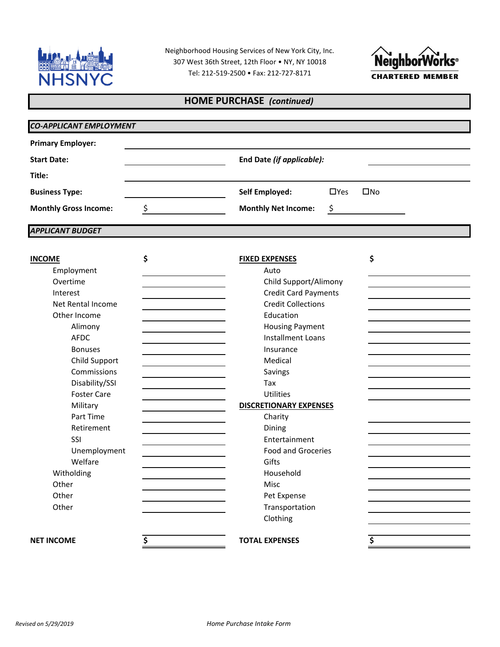

Neighborhood Housing Services of New York City, Inc. 307 West 36th Street, 12th Floor • NY, NY 10018 Tel: 212-519-2500 • Fax: 212-727-8171



## **HOME PURCHASE** *(continued)*

| <b>Primary Employer:</b>     |    |                               |                            |  |  |  |
|------------------------------|----|-------------------------------|----------------------------|--|--|--|
| <b>Start Date:</b>           |    | End Date (if applicable):     |                            |  |  |  |
| Title:                       |    |                               |                            |  |  |  |
| <b>Business Type:</b>        |    | <b>Self Employed:</b>         | $\Box$ Yes<br>$\square$ No |  |  |  |
| <b>Monthly Gross Income:</b> | \$ | <b>Monthly Net Income:</b>    | \$                         |  |  |  |
| <b>APPLICANT BUDGET</b>      |    |                               |                            |  |  |  |
| <b>INCOME</b>                | \$ | <b>FIXED EXPENSES</b>         | \$                         |  |  |  |
| Employment                   |    | Auto                          |                            |  |  |  |
| Overtime                     |    | Child Support/Alimony         |                            |  |  |  |
| Interest                     |    | <b>Credit Card Payments</b>   |                            |  |  |  |
| Net Rental Income            |    | <b>Credit Collections</b>     |                            |  |  |  |
| Other Income                 |    | Education                     |                            |  |  |  |
| Alimony                      |    | <b>Housing Payment</b>        |                            |  |  |  |
| <b>AFDC</b>                  |    | <b>Installment Loans</b>      |                            |  |  |  |
| <b>Bonuses</b>               |    | Insurance                     |                            |  |  |  |
| Child Support                |    | Medical                       |                            |  |  |  |
| Commissions                  |    | Savings                       |                            |  |  |  |
| Disability/SSI               |    | Tax                           |                            |  |  |  |
| <b>Foster Care</b>           |    | Utilities                     |                            |  |  |  |
| Military                     |    | <b>DISCRETIONARY EXPENSES</b> |                            |  |  |  |
| Part Time                    |    | Charity                       |                            |  |  |  |
| Retirement                   |    | Dining                        |                            |  |  |  |
| SSI                          |    | Entertainment                 |                            |  |  |  |
| Unemployment                 |    | <b>Food and Groceries</b>     |                            |  |  |  |
| Welfare                      |    | Gifts                         |                            |  |  |  |
| Witholding                   |    | Household                     |                            |  |  |  |
| Other                        |    | Misc                          |                            |  |  |  |
| Other                        |    | Pet Expense                   |                            |  |  |  |
| Other                        |    | Transportation                |                            |  |  |  |
|                              |    | Clothing                      |                            |  |  |  |
| <b>NET INCOME</b>            |    | <b>TOTAL EXPENSES</b>         |                            |  |  |  |
|                              | \$ |                               | \$                         |  |  |  |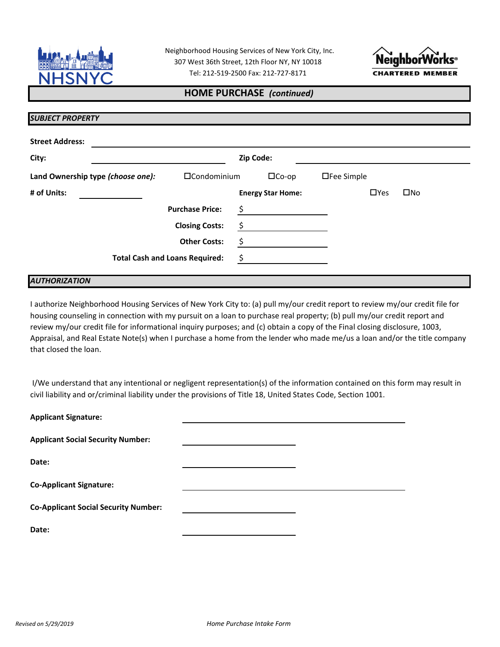

Neighborhood Housing Services of New York City, Inc. Tel: 212-519-2500 Fax: 212-727-8171 307 West 36th Street, 12th Floor NY, NY 10018



## **HOME PURCHASE** *(continued)*

| <b>Street Address:</b>            |                                       |    |                          |                   |            |              |
|-----------------------------------|---------------------------------------|----|--------------------------|-------------------|------------|--------------|
| City:                             | Zip Code:                             |    |                          |                   |            |              |
| Land Ownership type (choose one): | $\Box$ Condominium                    |    | $\Box$ Co-op             | $\Box$ Fee Simple |            |              |
| # of Units:                       |                                       |    | <b>Energy Star Home:</b> |                   | $\Box$ Yes | $\square$ No |
|                                   | <b>Purchase Price:</b>                | \$ |                          |                   |            |              |
|                                   | <b>Closing Costs:</b>                 | \$ |                          |                   |            |              |
|                                   | <b>Other Costs:</b>                   | \$ |                          |                   |            |              |
|                                   | <b>Total Cash and Loans Required:</b> | \$ |                          |                   |            |              |

## I authorize Neighborhood Housing Services of New York City to: (a) pull my/our credit report to review my/our credit file for housing counseling in connection with my pursuit on a loan to purchase real property; (b) pull my/our credit report and review my/our credit file for informational inquiry purposes; and (c) obtain a copy of the Final closing disclosure, 1003, Appraisal, and Real Estate Note(s) when I purchase a home from the lender who made me/us a loan and/or the title company that closed the loan.

 I/We understand that any intentional or negligent representation(s) of the information contained on this form may result in civil liability and or/criminal liability under the provisions of Title 18, United States Code, Section 1001.